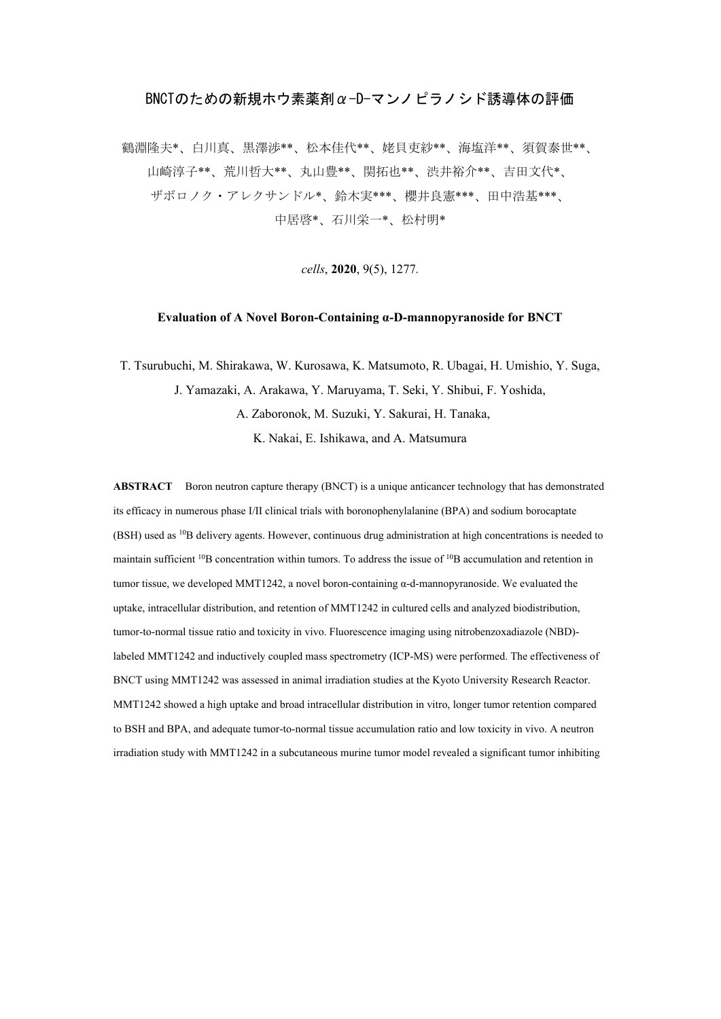## BNCTのための新規ホウ素薬剤α-D-マンノピラノシド誘導体の評価

鶴淵隆夫\*、白川真、黒澤渉\*\*、松本佳代\*\*、姥貝吏紗\*\*、海塩洋\*\*、須賀泰世\*\*、 山崎淳子\*\*、荒川哲大\*\*、丸山豊\*\*、関拓也\*\*、渋井裕介\*\*、吉田文代\*、 ザボロノク・アレクサンドル\*、鈴木実\*\*\*、櫻井良憲\*\*\*、田中浩基\*\*\*、 中居啓\*、石川栄一\*、松村明\*

*cells*, **2020**, 9(5), 1277.

## **Evaluation of A Novel Boron-Containing α-D-mannopyranoside for BNCT**

T. Tsurubuchi, M. Shirakawa, W. Kurosawa, K. Matsumoto, R. Ubagai, H. Umishio, Y. Suga, J. Yamazaki, A. Arakawa, Y. Maruyama, T. Seki, Y. Shibui, F. Yoshida, A. Zaboronok, M. Suzuki, Y. Sakurai, H. Tanaka, K. Nakai, E. Ishikawa, and A. Matsumura

**ABSTRACT** Boron neutron capture therapy (BNCT) is a unique anticancer technology that has demonstrated its efficacy in numerous phase I/II clinical trials with boronophenylalanine (BPA) and sodium borocaptate (BSH) used as 10B delivery agents. However, continuous drug administration at high concentrations is needed to maintain sufficient 10B concentration within tumors. To address the issue of 10B accumulation and retention in tumor tissue, we developed MMT1242, a novel boron-containing α-d-mannopyranoside. We evaluated the uptake, intracellular distribution, and retention of MMT1242 in cultured cells and analyzed biodistribution, tumor-to-normal tissue ratio and toxicity in vivo. Fluorescence imaging using nitrobenzoxadiazole (NBD) labeled MMT1242 and inductively coupled mass spectrometry (ICP-MS) were performed. The effectiveness of BNCT using MMT1242 was assessed in animal irradiation studies at the Kyoto University Research Reactor. MMT1242 showed a high uptake and broad intracellular distribution in vitro, longer tumor retention compared to BSH and BPA, and adequate tumor-to-normal tissue accumulation ratio and low toxicity in vivo. A neutron irradiation study with MMT1242 in a subcutaneous murine tumor model revealed a significant tumor inhibiting